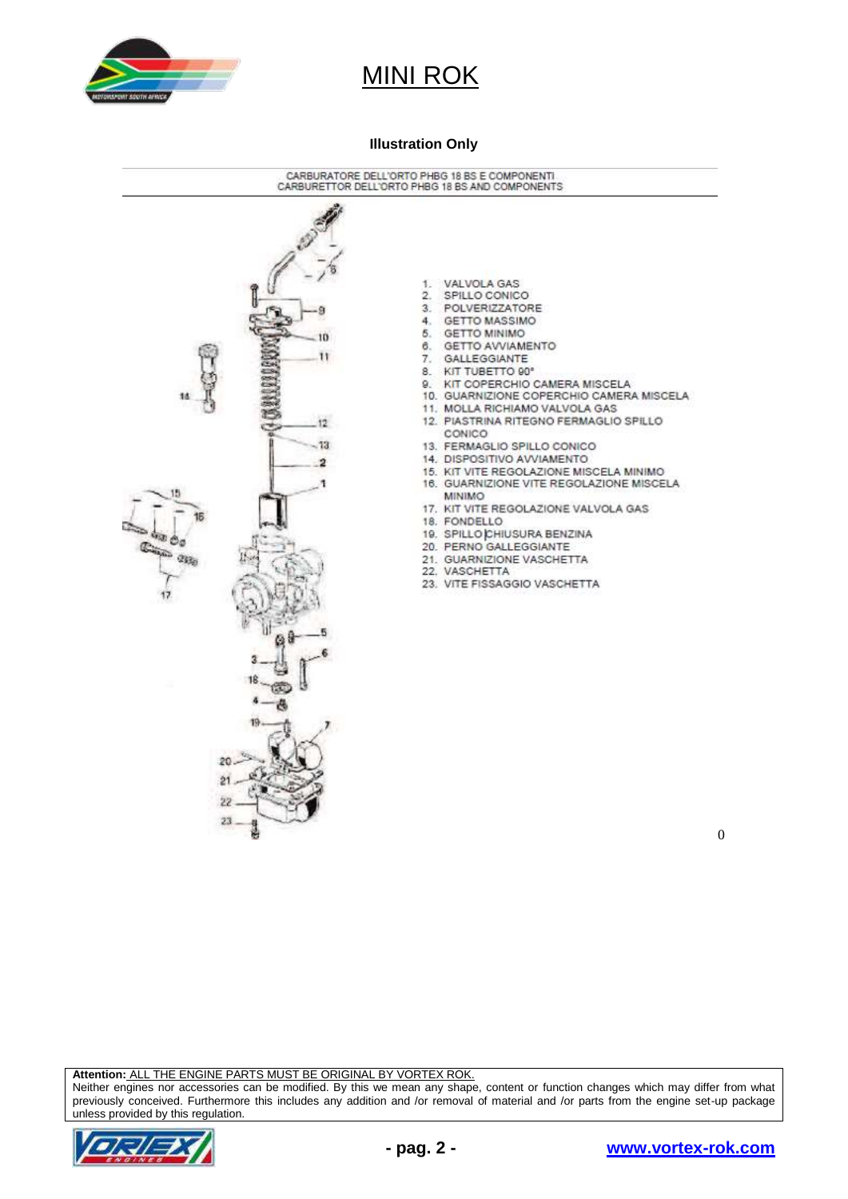

#### **Illustration Only**



 $\theta$ 

**Attention:** ALL THE ENGINE PARTS MUST BE ORIGINAL BY VORTEX ROK.

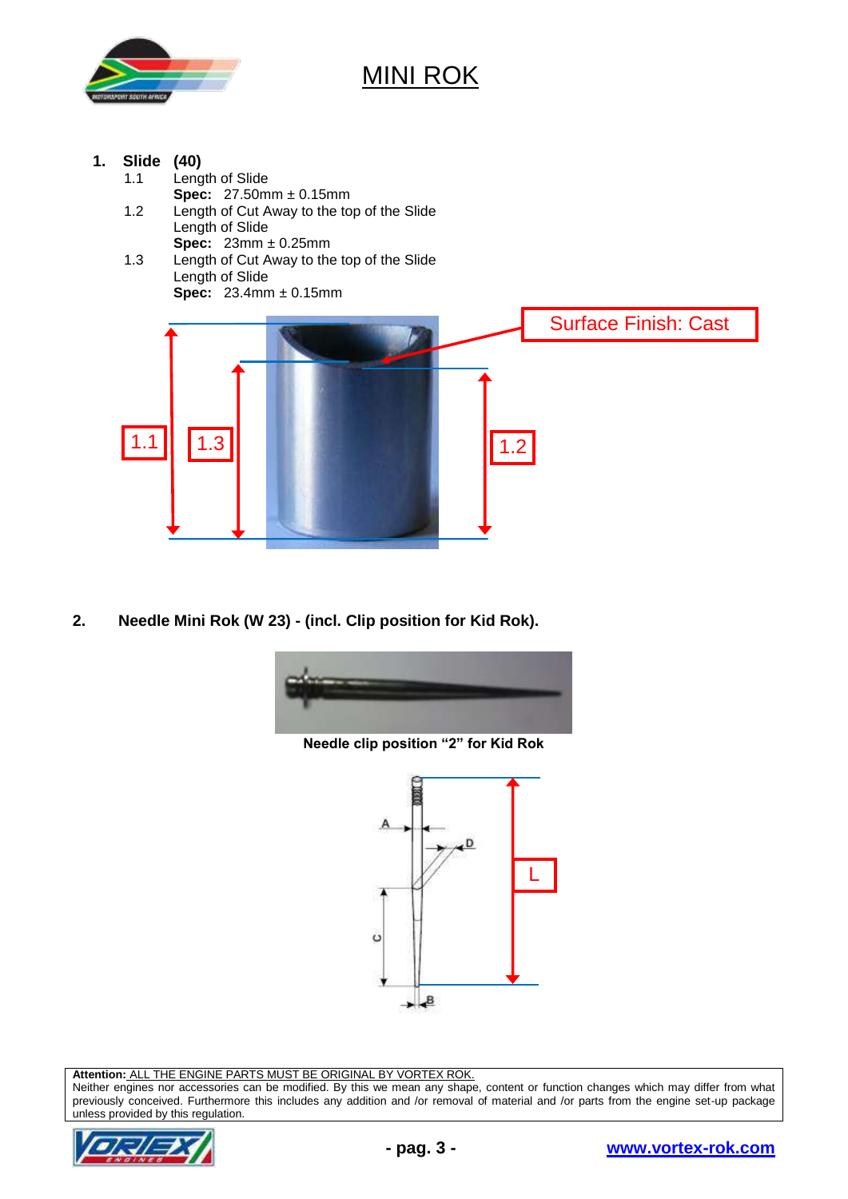

- **1. Slide (40)**
	- 1.1 Length of Slide
	- **Spec:** 27.50mm ± 0.15mm 1.2 Length of Cut Away to the top of the Slide Length of Slide
	- **Spec:** 23mm ± 0.25mm 1.3 Length of Cut Away to the top of the Slide Length of Slide **Spec:** 23.4mm ± 0.15mm



**2. Needle Mini Rok (W 23) - (incl. Clip position for Kid Rok).**



**Needle clip position "2" for Kid Rok**



**Attention:** ALL THE ENGINE PARTS MUST BE ORIGINAL BY VORTEX ROK.

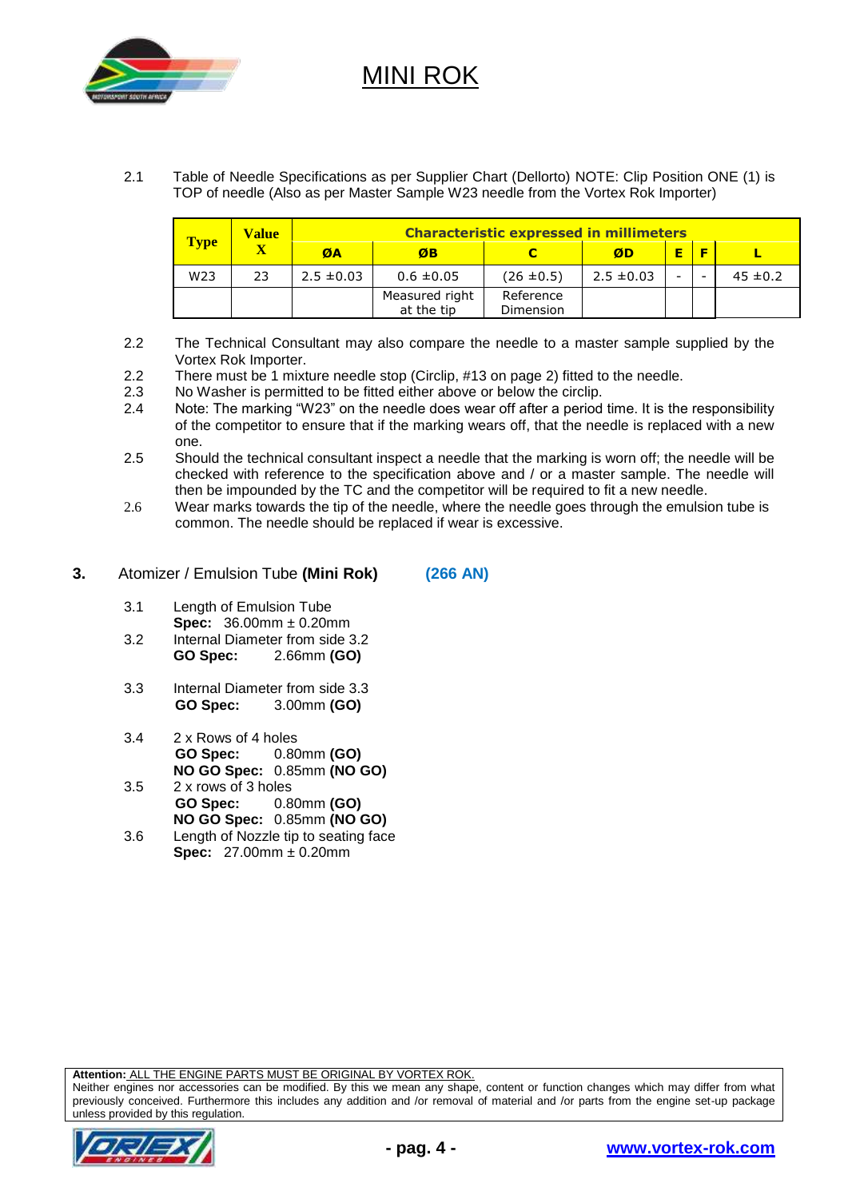

2.1 Table of Needle Specifications as per Supplier Chart (Dellorto) NOTE: Clip Position ONE (1) is TOP of needle (Also as per Master Sample W23 needle from the Vortex Rok Importer)

| <b>Type</b>     | <b>Value</b><br>$\overline{\textbf{X}}$ | <b>Characteristic expressed in millimeters</b> |                              |                        |                |   |  |              |
|-----------------|-----------------------------------------|------------------------------------------------|------------------------------|------------------------|----------------|---|--|--------------|
|                 |                                         | ØA                                             | ØB                           |                        | ØD             | E |  |              |
| W <sub>23</sub> | 23                                      | $2.5 \pm 0.03$                                 | $0.6 \pm 0.05$               | $(26 \pm 0.5)$         | $2.5 \pm 0.03$ |   |  | $45 \pm 0.2$ |
|                 |                                         |                                                | Measured right<br>at the tip | Reference<br>Dimension |                |   |  |              |

- 2.2 The Technical Consultant may also compare the needle to a master sample supplied by the Vortex Rok Importer.
- 2.2 There must be 1 mixture needle stop (Circlip, #13 on page 2) fitted to the needle.
- 2.3 No Washer is permitted to be fitted either above or below the circlip.
- 2.4 Note: The marking "W23" on the needle does wear off after a period time. It is the responsibility of the competitor to ensure that if the marking wears off, that the needle is replaced with a new one.
- 2.5 Should the technical consultant inspect a needle that the marking is worn off; the needle will be checked with reference to the specification above and / or a master sample. The needle will then be impounded by the TC and the competitor will be required to fit a new needle.
- 2.6 Wear marks towards the tip of the needle, where the needle goes through the emulsion tube is common. The needle should be replaced if wear is excessive.
- **3.** Atomizer / Emulsion Tube **(Mini Rok) (266 AN)**
	- 3.1 Length of Emulsion Tube **Spec:** 36.00mm ± 0.20mm
	- 3.2 Internal Diameter from side 3.2<br> **GO Spec:** 2.66mm (GO) **GO Spec:** 2.66mm **(GO)**
	- 3.3 Internal Diameter from side 3.3 **GO Spec:** 3.00mm **(GO)**
	- 3.4 2 x Rows of 4 holes **GO Spec:** 0.80mm **(GO) NO GO Spec:** 0.85mm **(NO GO)**
	- 3.5 2 x rows of 3 holes **GO Spec:** 0.80mm **(GO) NO GO Spec:** 0.85mm **(NO GO)**
	- 3.6 Length of Nozzle tip to seating face **Spec:** 27.00mm ± 0.20mm

**Attention:** ALL THE ENGINE PARTS MUST BE ORIGINAL BY VORTEX ROK.

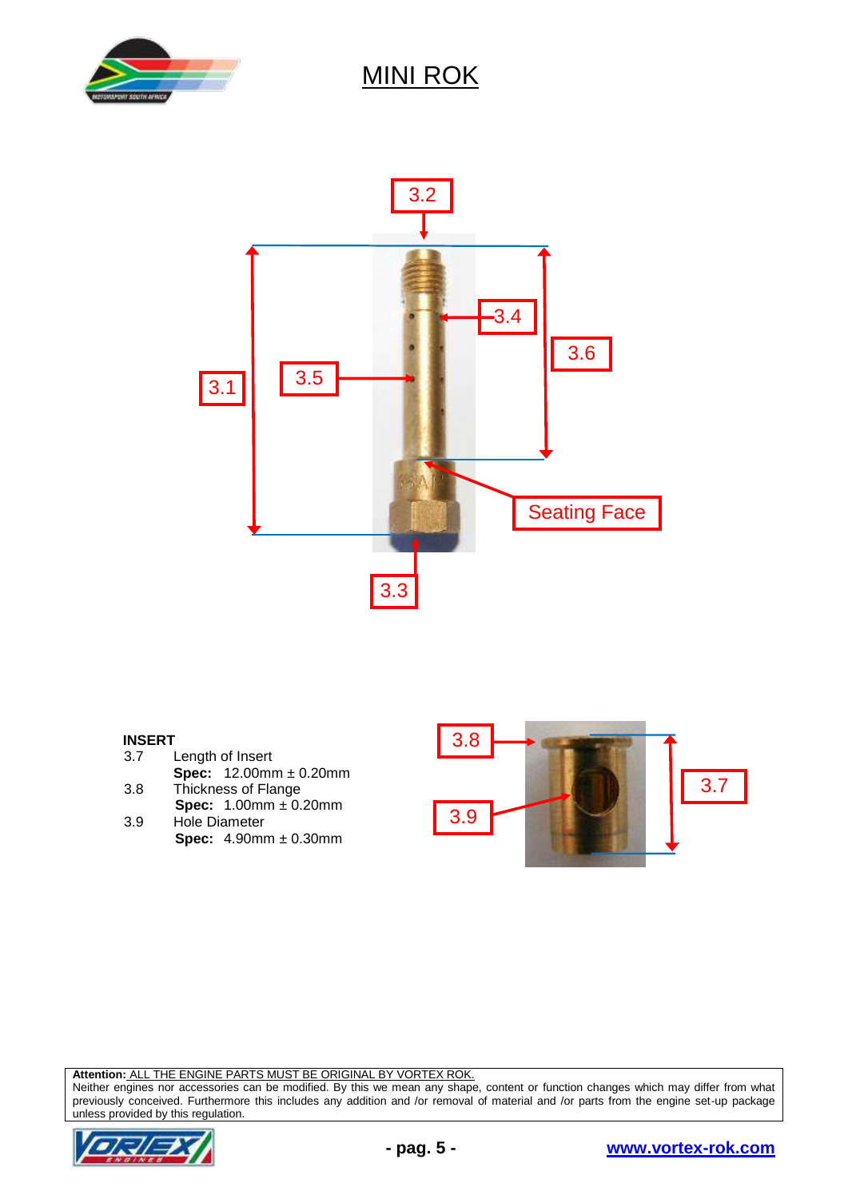



# **INSERT**

- Length of Insert
- **Spec:** 12.00mm ± 0.20mm 3.8 Thickness of Flange
- **Spec:** 1.00mm ± 0.20mm
- 3.9 Hole Diameter **Spec:** 4.90mm ± 0.30mm



**Attention:** ALL THE ENGINE PARTS MUST BE ORIGINAL BY VORTEX ROK.

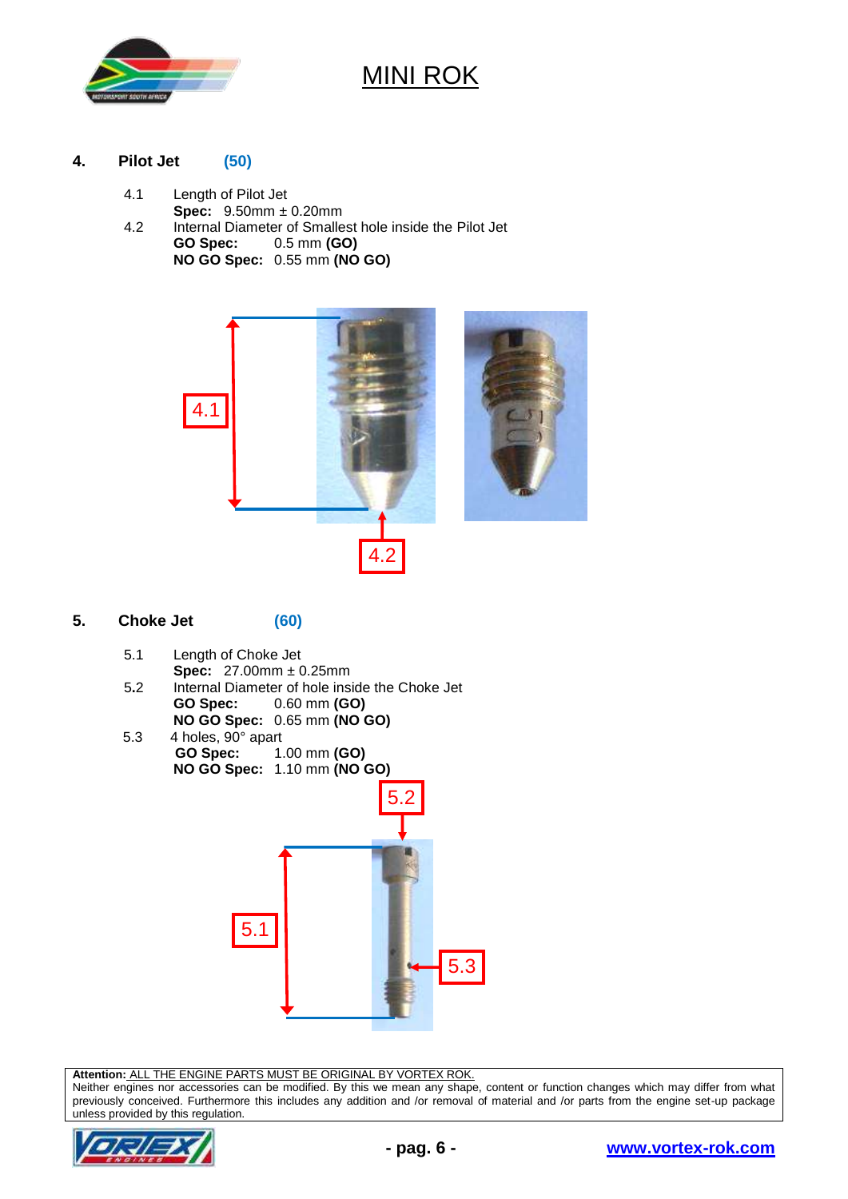

#### **4. Pilot Jet (50)**

- 4.1 Length of Pilot Jet
	- **Spec:** 9.50mm ± 0.20mm
- 4.2 Internal Diameter of Smallest hole inside the Pilot Jet **GO Spec:** 0.5 mm **(GO) NO GO Spec:** 0.55 mm **(NO GO)**



### **5. Choke Jet (60)**

- 5.1 Length of Choke Jet
- **Spec:** 27.00mm ± 0.25mm
- 5**.**2 Internal Diameter of hole inside the Choke Jet **GO Spec:** 0.60 mm **(GO) NO GO Spec:** 0.65 mm **(NO GO)**
- 5.3 4 holes, 90° apart<br> **GO Spec:** 1. **GO Spec:** 1.00 mm **(GO) NO GO Spec:** 1.10 mm **(NO GO)**



**Attention:** ALL THE ENGINE PARTS MUST BE ORIGINAL BY VORTEX ROK.

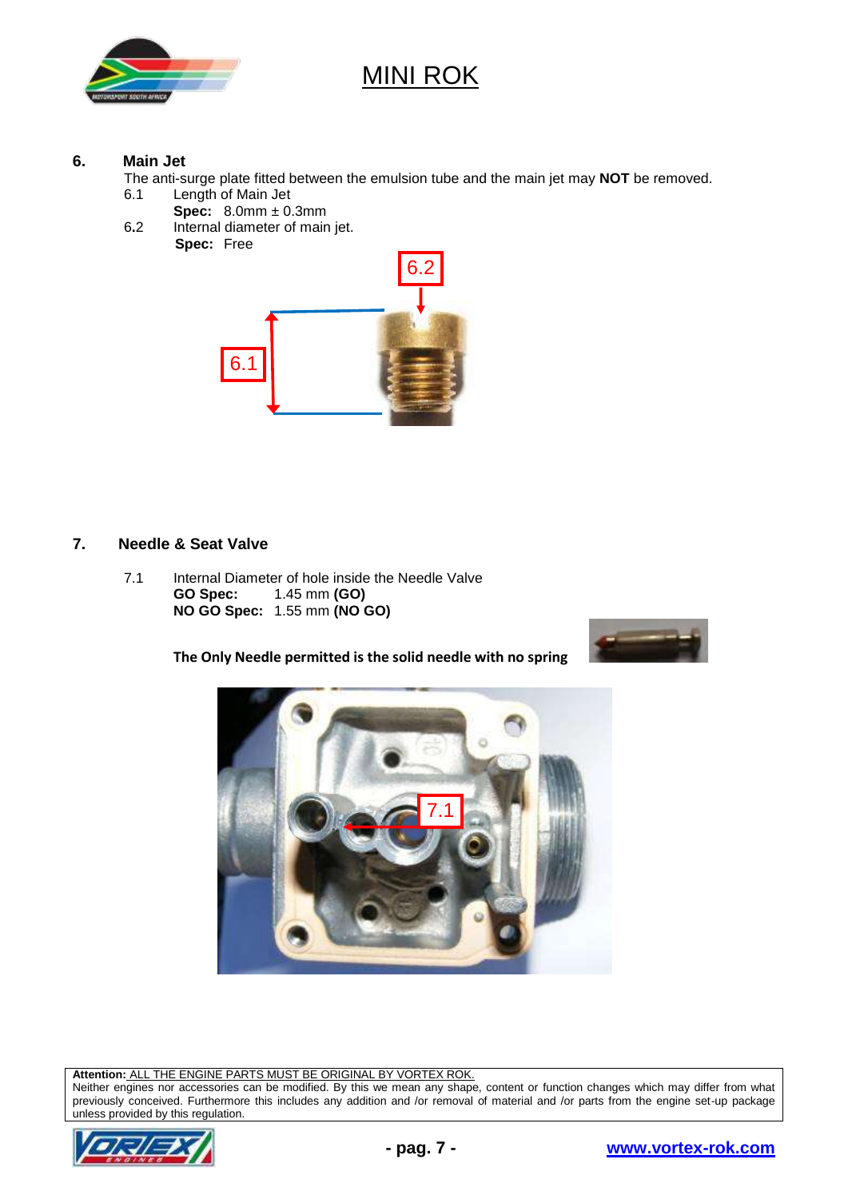

#### **6. Main Jet**

The anti-surge plate fitted between the emulsion tube and the main jet may **NOT** be removed.

- 6.1 Length of Main Jet
	- **Spec:** 8.0mm ± 0.3mm
- 6**.**2 Internal diameter of main jet. **Spec:** Free



### **7. Needle & Seat Valve**

7.1 Internal Diameter of hole inside the Needle Valve **GO Spec:** 1.45 mm **(GO) NO GO Spec:** 1.55 mm **(NO GO)**

**The Only Needle permitted is the solid needle with no spring** 





**Attention:** ALL THE ENGINE PARTS MUST BE ORIGINAL BY VORTEX ROK.

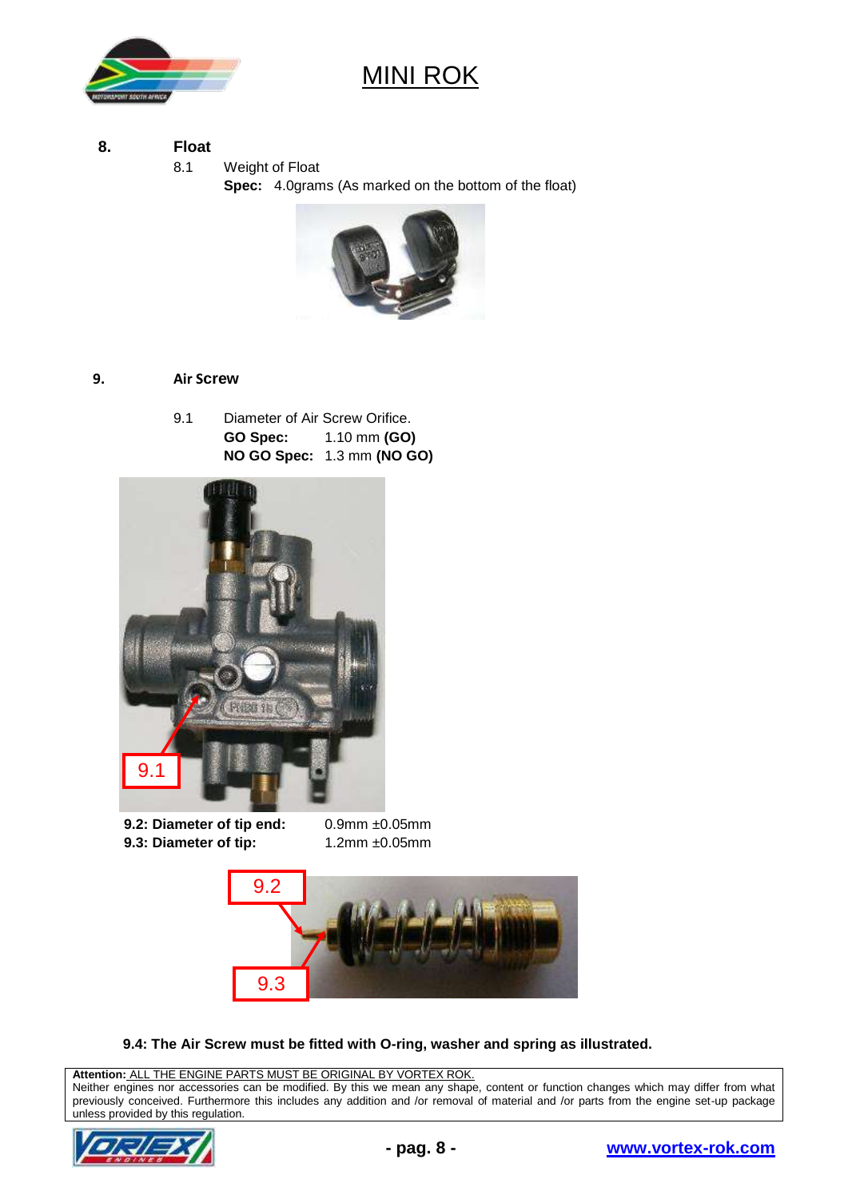

### **8. Float**

8.1 Weight of Float

**Spec:** 4.0grams (As marked on the bottom of the float)



### **9. Air Screw**

9.1 Diameter of Air Screw Orifice. **GO Spec:** 1.10 mm **(GO) NO GO Spec:** 1.3 mm **(NO GO)**



**9.2: Diameter of tip end:** 0.9mm ±0.05mm **9.3: Diameter of tip:** 1.2mm  $\pm 0.05$ mm



**9.4: The Air Screw must be fitted with O-ring, washer and spring as illustrated.**

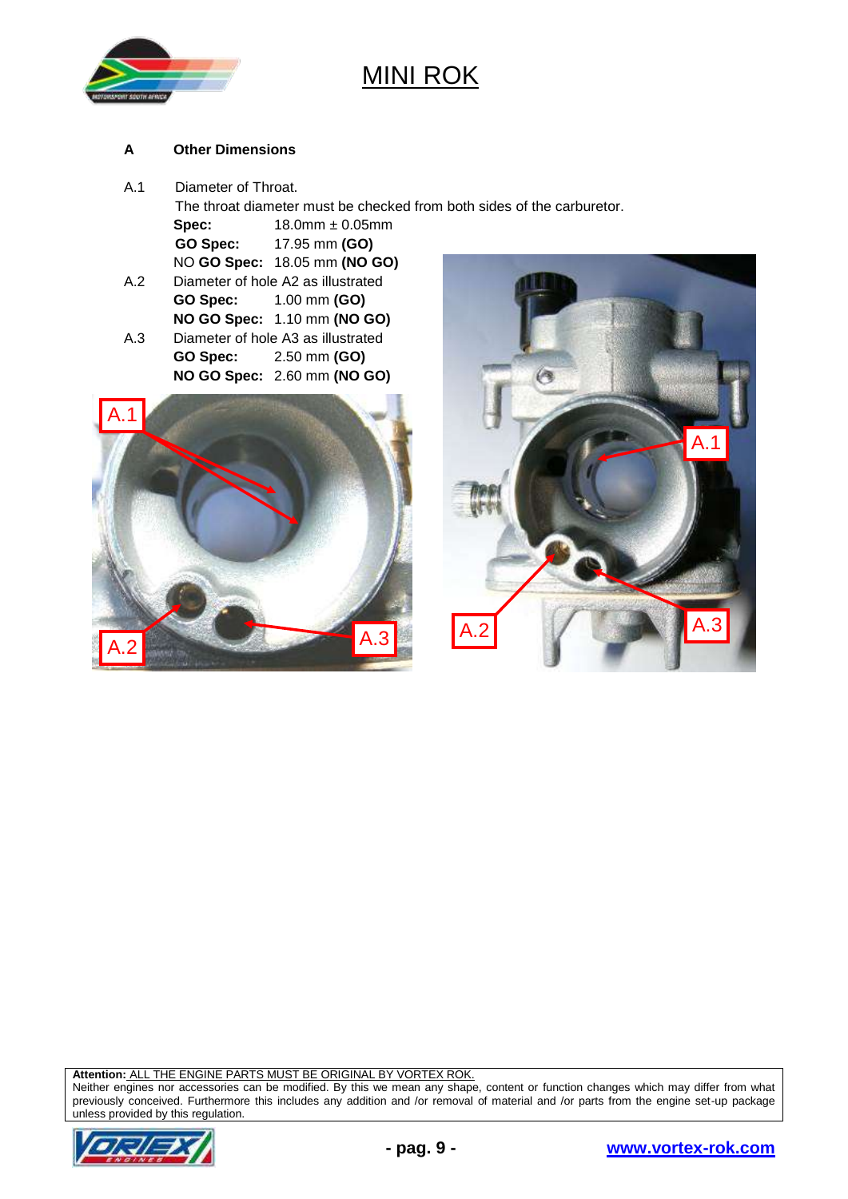

#### **A Other Dimensions**

A.1 Diameter of Throat.

The throat diameter must be checked from both sides of the carburetor. **Spec:** 18.0mm ± 0.05mm **GO Spec:** 17.95 mm **(GO)** NO **GO Spec:** 18.05 mm **(NO GO)** 

- A.2 Diameter of hole A2 as illustrated **GO Spec:** 1.00 mm **(GO) NO GO Spec:** 1.10 mm **(NO GO)** A.3 Diameter of hole A3 as illustrated **GO Spec:** 2.50 mm **(GO)**
	- **NO GO Spec:** 2.60 mm **(NO GO)**





**Attention:** ALL THE ENGINE PARTS MUST BE ORIGINAL BY VORTEX ROK.

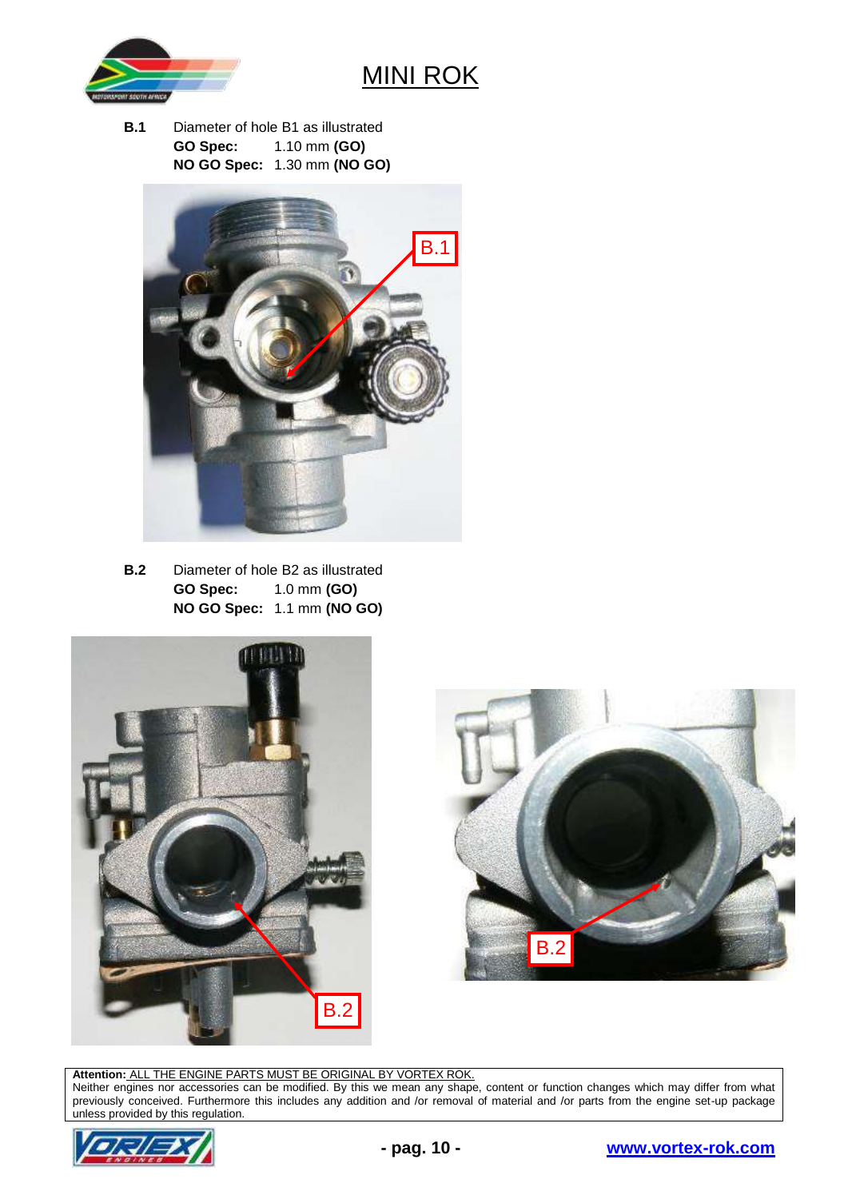

**B.1** Diameter of hole B1 as illustrated **GO Spec:** 1.10 mm **(GO) NO GO Spec:** 1.30 mm **(NO GO)**



**B.2** Diameter of hole B2 as illustrated **GO Spec:** 1.0 mm **(GO) NO GO Spec:** 1.1 mm **(NO GO)**





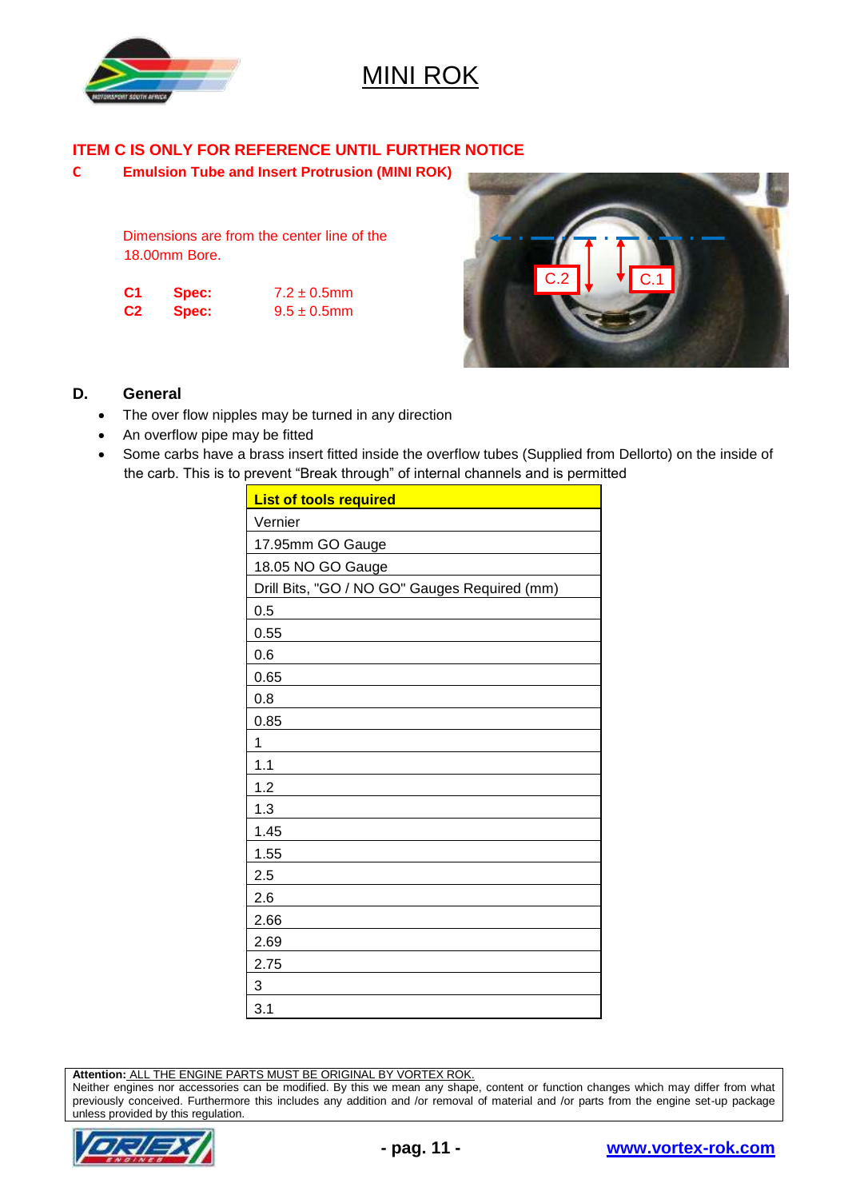

### **ITEM C IS ONLY FOR REFERENCE UNTIL FURTHER NOTICE**

**C Emulsion Tube and Insert Protrusion (MINI ROK)**

Dimensions are from the center line of the 18.00mm Bore.

| C <sub>1</sub> | Spec: | $7.2 \pm 0.5$ mm |
|----------------|-------|------------------|
| C <sub>2</sub> | Spec: | $9.5 \pm 0.5$ mm |



#### **D. General**

- The over flow nipples may be turned in any direction
- An overflow pipe may be fitted
- Some carbs have a brass insert fitted inside the overflow tubes (Supplied from Dellorto) on the inside of the carb. This is to prevent "Break through" of internal channels and is permitted

| <b>List of tools required</b>                 |  |  |  |  |  |
|-----------------------------------------------|--|--|--|--|--|
| Vernier                                       |  |  |  |  |  |
| 17.95mm GO Gauge                              |  |  |  |  |  |
| 18.05 NO GO Gauge                             |  |  |  |  |  |
| Drill Bits, "GO / NO GO" Gauges Required (mm) |  |  |  |  |  |
| 0.5                                           |  |  |  |  |  |
| 0.55                                          |  |  |  |  |  |
| 0.6                                           |  |  |  |  |  |
| 0.65                                          |  |  |  |  |  |
| 0.8                                           |  |  |  |  |  |
| 0.85                                          |  |  |  |  |  |
| 1                                             |  |  |  |  |  |
| 1.1                                           |  |  |  |  |  |
| 1.2                                           |  |  |  |  |  |
| 1.3                                           |  |  |  |  |  |
| 1.45                                          |  |  |  |  |  |
| 1.55                                          |  |  |  |  |  |
| 2.5                                           |  |  |  |  |  |
| 2.6                                           |  |  |  |  |  |
| 2.66                                          |  |  |  |  |  |
| 2.69                                          |  |  |  |  |  |
| 2.75                                          |  |  |  |  |  |
| 3                                             |  |  |  |  |  |
| 3.1                                           |  |  |  |  |  |

**Attention:** ALL THE ENGINE PARTS MUST BE ORIGINAL BY VORTEX ROK.